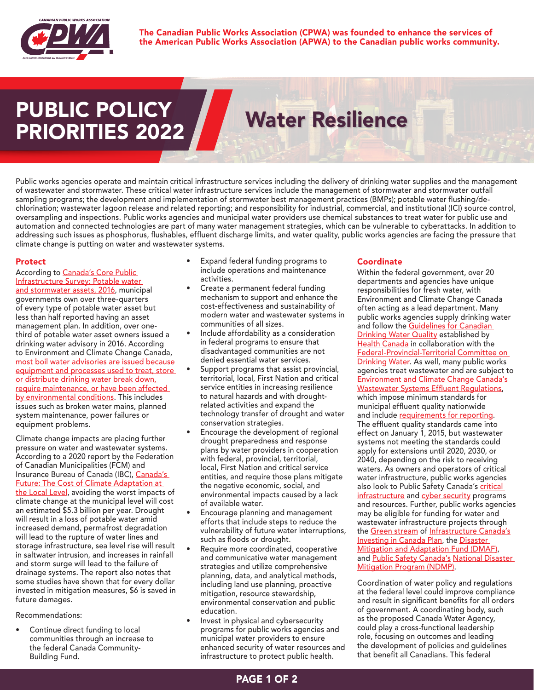

The Canadian Public Works Association (CPWA) was founded to enhance the services of the American Public Works Association (APWA) to the Canadian public works community.

# PUBLIC POLICY PRIORITIES 2022 Water Resilience

Public works agencies operate and maintain critical infrastructure services including the delivery of drinking water supplies and the management of wastewater and stormwater. These critical water infrastructure services include the management of stormwater and stormwater outfall sampling programs; the development and implementation of stormwater best management practices (BMPs); potable water flushing/dechlorination; wastewater lagoon release and related reporting; and responsibility for industrial, commercial, and institutional (ICI) source control, oversampling and inspections. Public works agencies and municipal water providers use chemical substances to treat water for public use and automation and connected technologies are part of many water management strategies, which can be vulnerable to cyberattacks. In addition to addressing such issues as phosphorus, flushables, effluent discharge limits, and water quality, public works agencies are facing the pressure that climate change is putting on water and wastewater systems.

## Protect

According to Canada's Core Public [Infrastructure Survey: Potable water](https://www150.statcan.gc.ca/n1/daily-quotidien/181101/dq181101a-eng.htm?CMP=mstatcan)  [and stormwater assets, 2016,](https://www150.statcan.gc.ca/n1/daily-quotidien/181101/dq181101a-eng.htm?CMP=mstatcan) municipal governments own over three-quarters of every type of potable water asset but less than half reported having an asset management plan. In addition, over onethird of potable water asset owners issued a drinking water advisory in 2016. According to Environment and Climate Change Canada, [most boil water advisories are issued because](https://www.canada.ca/en/environment-climate-change/services/environmental-indicators/drinking-water-advisories.html)  [equipment and processes used to treat, store](https://www.canada.ca/en/environment-climate-change/services/environmental-indicators/drinking-water-advisories.html)  [or distribute drinking water break down,](https://www.canada.ca/en/environment-climate-change/services/environmental-indicators/drinking-water-advisories.html)  [require maintenance, or have been affected](https://www.canada.ca/en/environment-climate-change/services/environmental-indicators/drinking-water-advisories.html)  [by environmental conditions.](https://www.canada.ca/en/environment-climate-change/services/environmental-indicators/drinking-water-advisories.html) This includes issues such as broken water mains, planned system maintenance, power failures or equipment problems.

Climate change impacts are placing further pressure on water and wastewater systems. According to a 2020 report by the Federation of Canadian Municipalities (FCM) and Insurance Bureau of Canada (IBC), Canada's [Future: The Cost of Climate Adaptation at](http://www.ibc.ca/on/disaster/water/flooding-in-canada/the-cost-of-climate-adaptation)  [the Local Level](http://www.ibc.ca/on/disaster/water/flooding-in-canada/the-cost-of-climate-adaptation), avoiding the worst impacts of climate change at the municipal level will cost an estimated \$5.3 billion per year. Drought will result in a loss of potable water amid increased demand, permafrost degradation will lead to the rupture of water lines and storage infrastructure, sea level rise will result in saltwater intrusion, and increases in rainfall and storm surge will lead to the failure of drainage systems. The report also notes that some studies have shown that for every dollar invested in mitigation measures, \$6 is saved in future damages.

Recommendations:

Continue direct funding to local communities through an increase to the federal Canada Community-Building Fund.

- Expand federal funding programs to include operations and maintenance activities.
- Create a permanent federal funding mechanism to support and enhance the cost-effectiveness and sustainability of modern water and wastewater systems in communities of all sizes.
- Include affordability as a consideration in federal programs to ensure that disadvantaged communities are not denied essential water services.
- Support programs that assist provincial, territorial, local, First Nation and critical service entities in increasing resilience to natural hazards and with droughtrelated activities and expand the technology transfer of drought and water conservation strategies.
- Encourage the development of regional drought preparedness and response plans by water providers in cooperation with federal, provincial, territorial, local, First Nation and critical service entities, and require those plans mitigate the negative economic, social, and environmental impacts caused by a lack of available water.
- Encourage planning and management efforts that include steps to reduce the vulnerability of future water interruptions, such as floods or drought.
- Require more coordinated, cooperative and communicative water management strategies and utilize comprehensive planning, data, and analytical methods, including land use planning, proactive mitigation, resource stewardship, environmental conservation and public education.
- Invest in physical and cybersecurity programs for public works agencies and municipal water providers to ensure enhanced security of water resources and infrastructure to protect public health.

# Coordinate

Within the federal government, over 20 departments and agencies have unique responsibilities for fresh water, with Environment and Climate Change Canada often acting as a lead department. Many public works agencies supply drinking water and follow the Guidelines for Canadian **[Drinking Water Quality](https://www.canada.ca/en/health-canada/services/environmental-workplace-health/water-quality/drinking-water/canadian-drinking-water-guidelines.html) established by** [Health Canada](https://www.canada.ca/en/health-canada.html) in collaboration with the [Federal-Provincial-Territorial Committee on](https://www.canada.ca/en/health-canada/services/environmental-workplace-health/water-quality/drinking-water/federal-provincial-territorial-committee-drinking-water-health-canada.html)  [Drinking Water.](https://www.canada.ca/en/health-canada/services/environmental-workplace-health/water-quality/drinking-water/federal-provincial-territorial-committee-drinking-water-health-canada.html) As well, many public works agencies treat wastewater and are subject to [Environment and Climate Change Canada's](https://www.canada.ca/en/environment-climate-change.html) [Wastewater Systems Effluent Regulations](https://www.canada.ca/en/environment-climate-change.html), which impose minimum standards for municipal effluent quality nationwide and include [requirements for reporting](https://www.canada.ca/en/environment-climate-change/services/wastewater/system-effluent-regulations-reporting.html). The effluent quality standards came into effect on January 1, 2015, but wastewater systems not meeting the standards could apply for extensions until 2020, 2030, or 2040, depending on the risk to receiving waters. As owners and operators of critical water infrastructure, public works agencies also look to Public Safety Canada's critical [infrastructure](https://www.publicsafety.gc.ca/cnt/ntnl-scrt/crtcl-nfrstrctr/index-en.aspx) and [cyber security](https://www.publicsafety.gc.ca/cnt/ntnl-scrt/cbr-scrt/index-en.aspx) programs and resources. Further, public works agencies may be eligible for funding for water and wastewater infrastructure projects through the [Green stream](https://www.infrastructure.gc.ca/plan/gi-iv-eng.html) of [Infrastructure Canada's](https://www.infrastructure.gc.ca/) **[Investing in Canada Plan](https://www.infrastructure.gc.ca/plan/about-invest-apropos-eng.html), the Disaster** [Mitigation and Adaptation Fund \(DMAF\)](https://www.infrastructure.gc.ca/dmaf-faac/index-eng.html), and <u>[Public Safety Canada's](https://www.publicsafety.gc.ca/index-en.aspx) National Disaster</u> [Mitigation Program \(NDMP\).](https://www.publicsafety.gc.ca/cnt/mrgnc-mngmnt/dsstr-prvntn-mtgtn/ndmp/index-en.aspx)

Coordination of water policy and regulations at the federal level could improve compliance and result in significant benefits for all orders of government. A coordinating body, such as the proposed Canada Water Agency, could play a cross-functional leadership role, focusing on outcomes and leading the development of policies and guidelines that benefit all Canadians. This federal

# PAGE 1 OF 2